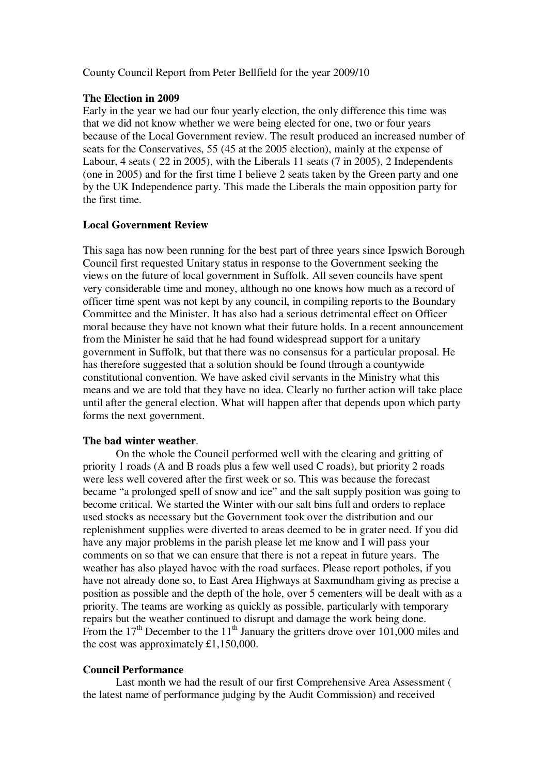County Council Report from Peter Bellfield for the year 2009/10

#### **The Election in 2009**

Early in the year we had our four yearly election, the only difference this time was that we did not know whether we were being elected for one, two or four years because of the Local Government review. The result produced an increased number of seats for the Conservatives, 55 (45 at the 2005 election), mainly at the expense of Labour, 4 seats ( 22 in 2005), with the Liberals 11 seats (7 in 2005), 2 Independents (one in 2005) and for the first time I believe 2 seats taken by the Green party and one by the UK Independence party. This made the Liberals the main opposition party for the first time.

# **Local Government Review**

This saga has now been running for the best part of three years since Ipswich Borough Council first requested Unitary status in response to the Government seeking the views on the future of local government in Suffolk. All seven councils have spent very considerable time and money, although no one knows how much as a record of officer time spent was not kept by any council, in compiling reports to the Boundary Committee and the Minister. It has also had a serious detrimental effect on Officer moral because they have not known what their future holds. In a recent announcement from the Minister he said that he had found widespread support for a unitary government in Suffolk, but that there was no consensus for a particular proposal. He has therefore suggested that a solution should be found through a countywide constitutional convention. We have asked civil servants in the Ministry what this means and we are told that they have no idea. Clearly no further action will take place until after the general election. What will happen after that depends upon which party forms the next government.

# **The bad winter weather**.

 On the whole the Council performed well with the clearing and gritting of priority 1 roads (A and B roads plus a few well used C roads), but priority 2 roads were less well covered after the first week or so. This was because the forecast became "a prolonged spell of snow and ice" and the salt supply position was going to become critical. We started the Winter with our salt bins full and orders to replace used stocks as necessary but the Government took over the distribution and our replenishment supplies were diverted to areas deemed to be in grater need. If you did have any major problems in the parish please let me know and I will pass your comments on so that we can ensure that there is not a repeat in future years. The weather has also played havoc with the road surfaces. Please report potholes, if you have not already done so, to East Area Highways at Saxmundham giving as precise a position as possible and the depth of the hole, over 5 cementers will be dealt with as a priority. The teams are working as quickly as possible, particularly with temporary repairs but the weather continued to disrupt and damage the work being done. From the 17<sup>th</sup> December to the 11<sup>th</sup> January the gritters drove over 101,000 miles and the cost was approximately £1,150,000.

# **Council Performance**

 Last month we had the result of our first Comprehensive Area Assessment ( the latest name of performance judging by the Audit Commission) and received